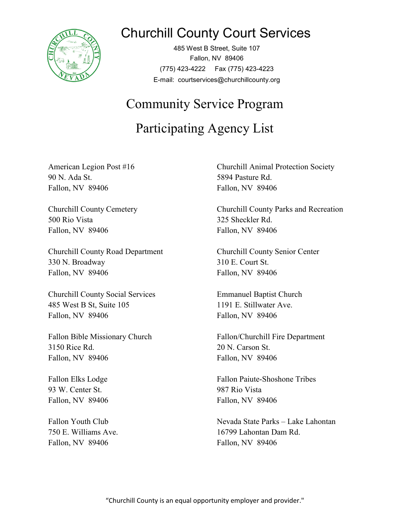

## Churchill County Court Services

485 West B Street, Suite 107 Fallon, NV 89406 (775) 423-4222 Fax (775) 423-4223 E-mail: courtservices@churchillcounty.org

## Community Service Program

## Participating Agency List

90 N. Ada St. 5894 Pasture Rd. Fallon, NV 89406 Fallon, NV 89406

500 Rio Vista 325 Sheckler Rd. Fallon, NV 89406 Fallon, NV 89406

Churchill County Road Department Churchill County Senior Center 330 N. Broadway 310 E. Court St. Fallon, NV 89406 Fallon, NV 89406

Churchill County Social Services Emmanuel Baptist Church 485 West B St, Suite 105 1191 E. Stillwater Ave. Fallon, NV 89406 Fallon, NV 89406

3150 Rice Rd. 20 N. Carson St. Fallon, NV 89406 Fallon, NV 89406

93 W. Center St. 987 Rio Vista Fallon, NV 89406 Fallon, NV 89406

Fallon, NV 89406 Fallon, NV 89406

American Legion Post #16 Churchill Animal Protection Society

Churchill County Cemetery Churchill County Parks and Recreation

Fallon Bible Missionary Church Fallon/Churchill Fire Department

Fallon Elks Lodge Fallon Paiute-Shoshone Tribes

Fallon Youth Club Nevada State Parks – Lake Lahontan 750 E. Williams Ave. 16799 Lahontan Dam Rd.